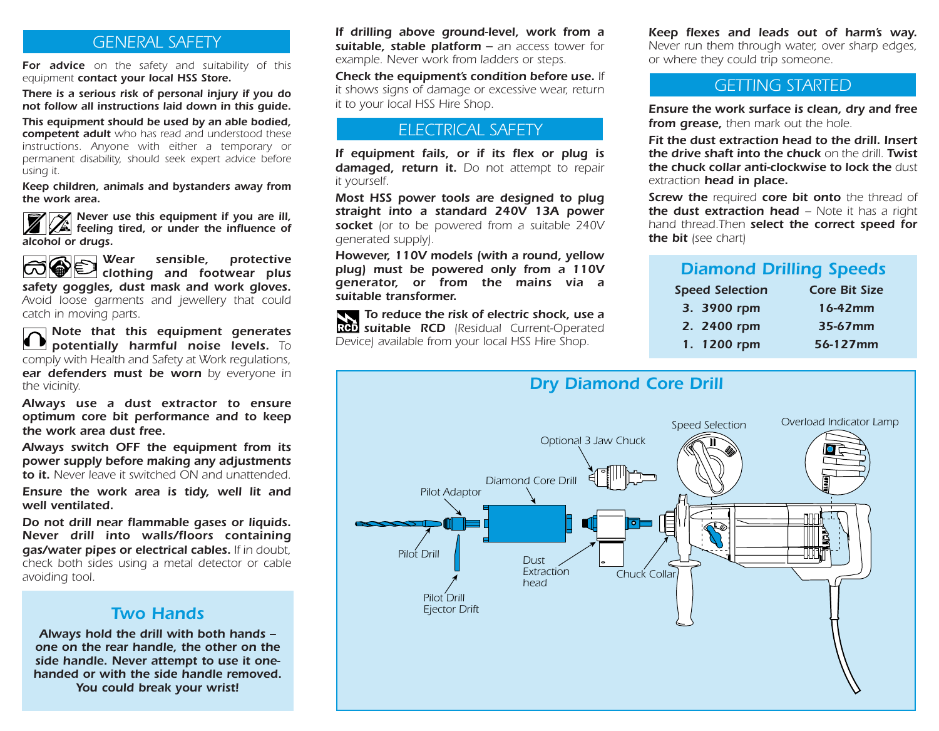*For advice on the safety and suitability of this equipment contact your local HSS Store.*

*There is a serious risk of personal injury if you do not follow all instructions laid down in this guide.*

*This equipment should be used by an able bodied, competent adult who has read and understood these instructions. Anyone with either a temporary or permanent disability, should seek expert advice before using it.*

*Keep children, animals and bystanders away from the work area.*

*N<sub>C</sub>* Never use this equipment if you are ill, *f feeling tired, or under the influence of alcohol or drugs.*

*Wear sensible, protective*<br>**a** clothing and footwear plus *clothing and footwear plus safety goggles, dust mask and work gloves. Avoid loose garments and jewellery that could catch in moving parts.*

*Note that this equipment generates potentially harmful noise levels. To comply with Health and Safety at Work regulations, ear defenders must be worn by everyone in the vicinity.*

*Always use a dust extractor to ensure optimum core bit performance and to keep the work area dust free.*

*Always switch OFF the equipment from its power supply before making any adjustments to it. Never leave it switched ON and unattended.*

*Ensure the work area is tidy, well lit and well ventilated.*

*Do not drill near flammable gases or liquids. Never drill into walls/floors containing gas/water pipes or electrical cables. If in doubt, check both sides using a metal detector or cable avoiding tool.*

#### *Two Hands*

*Always hold the drill with both hands – one on the rear handle, the other on the side handle. Never attempt to use it onehanded or with the side handle removed. You could break your wrist!*

*If drilling above ground-level, work from a example. Never work from ladders or steps.*

*Check the equipment's condition before use. If it shows signs of damage or excessive wear, return it to your local HSS Hire Shop.*

#### *ELECTRICAL SAFETY*

*If equipment fails, or if its flex or plug is damaged, return it. Do not attempt to repair it yourself.*

*Most HSS power tools are designed to plug straight into a standard 240V 13A power socket (or to be powered from a suitable 240V generated supply).*

*However, 110V models (with a round, yellow plug) must be powered only from a 110V generator, or from the mains via a suitable transformer.*

*To reduce the risk of electric shock, use a suitable RCD (Residual Current-Operated Device) available from your local HSS Hire Shop.*

**GENERAL SAFETY** *suitable, stable platform* – an access tower for *Reep flexes and leads out of harm's way.*<br> **GENERAL SAFETY** *Registable and the platform* – an access tower for *Rever run them through water, over Never run them through water, over sharp edges, or where they could trip someone.*

#### *GETTING STARTED*

*Ensure the work surface is clean, dry and free from grease, then mark out the hole.*

*Fit the dust extraction head to the drill. Insert the drive shaft into the chuck on the drill. Twist the chuck collar anti-clockwise to lock the dust extraction head in place.*

*Screw the required core bit onto the thread of* **the dust extraction head – Note it has a right** *hand thread.Then select the correct speed for the bit (see chart)*

## *Diamond Drilling Speeds*

| <b>Speed Selection</b> | <b>Core Bit Size</b> |
|------------------------|----------------------|
| 3. 3900 rpm            | 16-42mm              |
| 2. 2400 rpm            | 35-67mm              |
| 1. 1200 rpm            | 56-127mm             |